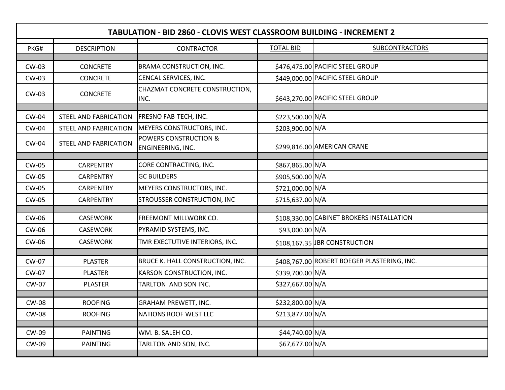| <b>TABULATION - BID 2860 - CLOVIS WEST CLASSROOM BUILDING - INCREMENT 2</b> |                              |                                                       |                  |                                             |  |  |  |
|-----------------------------------------------------------------------------|------------------------------|-------------------------------------------------------|------------------|---------------------------------------------|--|--|--|
| PKG#                                                                        | <b>DESCRIPTION</b>           | <b>CONTRACTOR</b>                                     | <b>TOTAL BID</b> | <b>SUBCONTRACTORS</b>                       |  |  |  |
|                                                                             |                              |                                                       |                  |                                             |  |  |  |
| <b>CW-03</b>                                                                | <b>CONCRETE</b>              | <b>BRAMA CONSTRUCTION, INC.</b>                       |                  | \$476,475.00 PACIFIC STEEL GROUP            |  |  |  |
| CW-03                                                                       | <b>CONCRETE</b>              | CENCAL SERVICES, INC.                                 |                  | \$449,000.00 PACIFIC STEEL GROUP            |  |  |  |
| CW-03                                                                       | <b>CONCRETE</b>              | CHAZMAT CONCRETE CONSTRUCTION,<br>INC.                |                  | \$643,270.00 PACIFIC STEEL GROUP            |  |  |  |
| <b>CW-04</b>                                                                | STEEL AND FABRICATION        | <b>FRESNO FAB-TECH, INC.</b>                          | \$223,500.00 N/A |                                             |  |  |  |
| <b>CW-04</b>                                                                | STEEL AND FABRICATION        | MEYERS CONSTRUCTORS, INC.                             | \$203,900.00 N/A |                                             |  |  |  |
| <b>CW-04</b>                                                                | <b>STEEL AND FABRICATION</b> | <b>POWERS CONSTRUCTION &amp;</b><br>ENGINEERING, INC. |                  | \$299,816.00 AMERICAN CRANE                 |  |  |  |
| <b>CW-05</b>                                                                | <b>CARPENTRY</b>             | CORE CONTRACTING, INC.                                | \$867,865.00 N/A |                                             |  |  |  |
| <b>CW-05</b>                                                                | <b>CARPENTRY</b>             | <b>GC BUILDERS</b>                                    | \$905,500.00 N/A |                                             |  |  |  |
| <b>CW-05</b>                                                                | <b>CARPENTRY</b>             | MEYERS CONSTRUCTORS, INC.                             | \$721,000.00 N/A |                                             |  |  |  |
| CW-05                                                                       | <b>CARPENTRY</b>             | STROUSSER CONSTRUCTION, INC                           | \$715,637.00 N/A |                                             |  |  |  |
|                                                                             |                              |                                                       |                  |                                             |  |  |  |
| <b>CW-06</b>                                                                | <b>CASEWORK</b>              | <b>FREEMONT MILLWORK CO.</b>                          |                  | \$108,330.00 CABINET BROKERS INSTALLATION   |  |  |  |
| CW-06                                                                       | <b>CASEWORK</b>              | PYRAMID SYSTEMS, INC.                                 | \$93,000.00 N/A  |                                             |  |  |  |
| CW-06                                                                       | <b>CASEWORK</b>              | TMR EXECTUTIVE INTERIORS, INC.                        |                  | \$108,167.35 JBR CONSTRUCTION               |  |  |  |
|                                                                             |                              |                                                       |                  |                                             |  |  |  |
| <b>CW-07</b>                                                                | <b>PLASTER</b>               | BRUCE K. HALL CONSTRUCTION, INC.                      |                  | \$408,767.00 ROBERT BOEGER PLASTERING, INC. |  |  |  |
| <b>CW-07</b>                                                                | <b>PLASTER</b>               | KARSON CONSTRUCTION, INC.                             | \$339,700.00 N/A |                                             |  |  |  |
| <b>CW-07</b>                                                                | <b>PLASTER</b>               | TARLTON AND SON INC.                                  | \$327,667.00 N/A |                                             |  |  |  |
| <b>CW-08</b>                                                                | <b>ROOFING</b>               | <b>GRAHAM PREWETT, INC.</b>                           | \$232,800.00 N/A |                                             |  |  |  |
| <b>CW-08</b>                                                                | <b>ROOFING</b>               | NATIONS ROOF WEST LLC                                 | \$213,877.00 N/A |                                             |  |  |  |
|                                                                             |                              |                                                       |                  |                                             |  |  |  |
| CW-09                                                                       | <b>PAINTING</b>              | WM. B. SALEH CO.                                      | \$44,740.00 N/A  |                                             |  |  |  |
| CW-09                                                                       | <b>PAINTING</b>              | TARLTON AND SON, INC.                                 | \$67,677.00 N/A  |                                             |  |  |  |
|                                                                             |                              |                                                       |                  |                                             |  |  |  |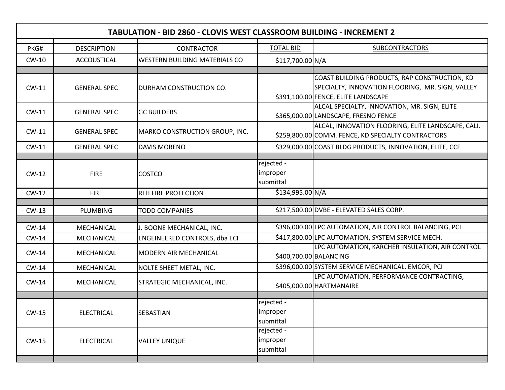| <b>TABULATION - BID 2860 - CLOVIS WEST CLASSROOM BUILDING - INCREMENT 2</b> |                     |                                      |                                     |                                                                                                                                          |  |  |  |
|-----------------------------------------------------------------------------|---------------------|--------------------------------------|-------------------------------------|------------------------------------------------------------------------------------------------------------------------------------------|--|--|--|
| PKG#                                                                        | <b>DESCRIPTION</b>  | CONTRACTOR                           | <b>TOTAL BID</b>                    | <b>SUBCONTRACTORS</b>                                                                                                                    |  |  |  |
| $CW-10$                                                                     | <b>ACCOUSTICAL</b>  | <b>WESTERN BUILDING MATERIALS CO</b> | \$117,700.00 N/A                    |                                                                                                                                          |  |  |  |
|                                                                             |                     |                                      |                                     |                                                                                                                                          |  |  |  |
| $CW-11$                                                                     | <b>GENERAL SPEC</b> | DURHAM CONSTRUCTION CO.              |                                     | COAST BUILDING PRODUCTS, RAP CONSTRUCTION, KD<br>SPECIALTY, INNOVATION FLOORING, MR. SIGN, VALLEY<br>\$391,100.00 FENCE, ELITE LANDSCAPE |  |  |  |
| $CW-11$                                                                     | <b>GENERAL SPEC</b> | <b>GC BUILDERS</b>                   |                                     | ALCAL SPECIALTY, INNOVATION, MR. SIGN, ELITE<br>\$365,000.00 LANDSCAPE, FRESNO FENCE                                                     |  |  |  |
| $CW-11$                                                                     | <b>GENERAL SPEC</b> | MARKO CONSTRUCTION GROUP, INC.       |                                     | ALCAL, INNOVATION FLOORING, ELITE LANDSCAPE, CALI.<br>\$259,800.00 COMM. FENCE, KD SPECIALTY CONTRACTORS                                 |  |  |  |
| $CW-11$                                                                     | <b>GENERAL SPEC</b> | <b>DAVIS MORENO</b>                  |                                     | \$329,000.00 COAST BLDG PRODUCTS, INNOVATION, ELITE, CCF                                                                                 |  |  |  |
|                                                                             |                     |                                      |                                     |                                                                                                                                          |  |  |  |
| $CW-12$                                                                     | <b>FIRE</b>         | <b>COSTCO</b>                        | rejected -<br>improper<br>submittal |                                                                                                                                          |  |  |  |
| $CW-12$                                                                     | <b>FIRE</b>         | <b>RLH FIRE PROTECTION</b>           | \$134,995.00 N/A                    |                                                                                                                                          |  |  |  |
|                                                                             |                     |                                      |                                     |                                                                                                                                          |  |  |  |
| $CW-13$                                                                     | <b>PLUMBING</b>     | <b>TODD COMPANIES</b>                |                                     | \$217,500.00 DVBE - ELEVATED SALES CORP.                                                                                                 |  |  |  |
| $CW-14$                                                                     | MECHANICAL          | J. BOONE MECHANICAL, INC.            |                                     | \$396,000.00 LPC AUTOMATION, AIR CONTROL BALANCING, PCI                                                                                  |  |  |  |
| $CW-14$                                                                     | MECHANICAL          | ENGEINEERED CONTROLS, dba ECI        |                                     | \$417,800.00 LPC AUTOMATION, SYSTEM SERVICE MECH.                                                                                        |  |  |  |
| $CW-14$                                                                     | MECHANICAL          | <b>MODERN AIR MECHANICAL</b>         |                                     | LPC AUTOMATION, KARCHER INSULATION, AIR CONTROL<br>\$400,700.00 BALANCING                                                                |  |  |  |
| $CW-14$                                                                     | MECHANICAL          | NOLTE SHEET METAL, INC.              |                                     | \$396,000.00 SYSTEM SERVICE MECHANICAL, EMCOR, PCI                                                                                       |  |  |  |
| $CW-14$                                                                     | MECHANICAL          | STRATEGIC MECHANICAL, INC.           |                                     | LPC AUTOMATION, PERFORMANCE CONTRACTING,<br>\$405,000.00 HARTMANAIRE                                                                     |  |  |  |
|                                                                             |                     |                                      | rejected -                          |                                                                                                                                          |  |  |  |
| $CW-15$                                                                     | <b>ELECTRICAL</b>   | <b>SEBASTIAN</b>                     | improper<br>submittal               |                                                                                                                                          |  |  |  |
| CW-15                                                                       | <b>ELECTRICAL</b>   | <b>VALLEY UNIQUE</b>                 | rejected -<br>improper<br>submittal |                                                                                                                                          |  |  |  |